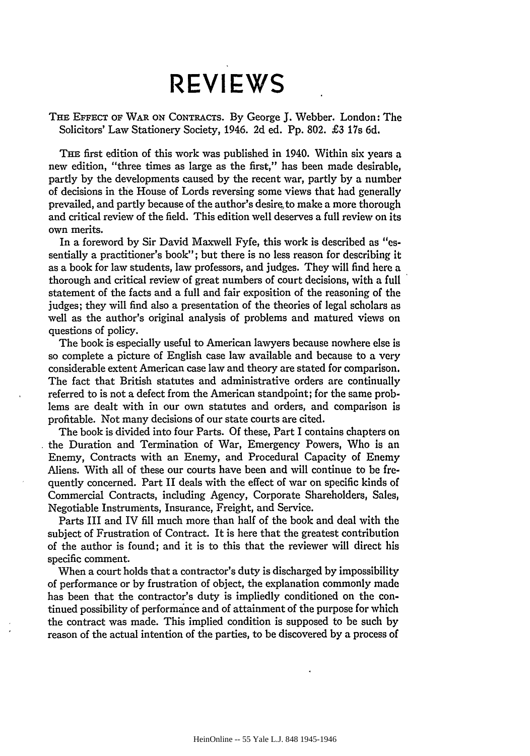## **REVIEWS REVIEWS**

THE EFFECT OF WAR ON CONTRACTS. By George J. Webber. London: The Solicitors' Law Stationery Society, 1946. **2d** ed. Pp. 802. £3 17s 6d. Solicitors' Law Stationery Society, 1946. 2d ed. Pp.802. £3 17s

THE first edition of this work was published in 1940. Within six years a THE first edition of this work was published in 1940. Within six years a<br>new edition, "three times as large as the first," has been made desirable, partly by the developments caused by the recent war, partly by a number of decisions in the House of Lords reversing some views that had generally of decisions in the House of Lords reversing some views that had generally prevailed, and partly because of the author's desire, to make a more thorough prevailed, and partly because of the author's desire to make a more thorough<br>and critical review of the field. This edition well deserves a full review on its own merits. own merits.

In a foreword by Sir David Maxwell Fyfe, this work is described as "es-In a foreword by Sir David Maxwell Fyfe, this work is described as liessentially a practitioner's book"; but there is no less reason for describing it sentially a practitioner's book"; but there is no less reason for describing it as a book for law students, law professors, and judges. They will find here a as a book for law students, law professors, and judges. They will find here a thorough and critical review of great numbers of court decisions, with a full thorough and critical review of great numbers of court decisions, with a full statement of the facts and a full and fair exposition of the reasoning of the statement of the facts and a full and fair exposition of the reasoning of the judges; they will find also a presentation of the theories of legal scholars as judges; they will find also a presentation of the theories of legal scholars as<br>well as the author's original analysis of problems and matured views on questions of policy. questions of

The book is especially useful to American lawyers because nowhere else is The book is especially useful to American lawyers because nowhere else is so complete a picture of English case law available and because to a very considerable extent American case law and theory are stated for comparison. so complete <sup>a</sup> picture of English case law available and because to <sup>a</sup> veryconsiderable extent American case law and theory are stated for comparison. The fact that British statutes and administrative orders are continually The fact that British statutes and administrative orders are continually referred to is not a defect from the American standpoint; for the same prob-referred to is not a defect from the American standpoint; for the same problems are dealt with in our own statutes and orders, and comparison is lems are dealt with in our own statutes and orders, and comparison is profitable. Not many decisions of our state courts are cited.

The book is divided into four Parts. Of these, Part I contains chapters on profitable. Not many decisions of our state courts are cited.<br>The book is divided into four Parts. Of these, Part I contains chapters on<br>the Duration and Termination of War, Emergency Powers, Who is an Enemy, Contracts with an Enemy, and Procedural Capacity of Enemy Enemy, Contracts with an Enemy, and Procedural Capacity of Enemy Aliens. With all of these our courts have been and will continue to be fre-Aliens. With all of these our courts have been and will continue to be frequently concerned. Part II deals with the effect of war on specific kinds of quently concerned. Part II deals with the effect of war on specific kinds of Commercial Contracts, including Agency, Corporate Shareholders, Sales, Commercial Contracts, including Agency, Corporate Shareholders, Sales, Negotiable Instruments, Insurance, Freight, and Service. Negotiable Instruments, Insurance, Freight, and Service.

Parts III and IV fill much more than half of the book and deal with the Parts III and IV fill much more than half of the book and deal with the subject of Frustration of Contract. It is here that the greatest contribution subject of Frustration of Contract. It is here that the greatest contribution of the author is found; and it is to this that the reviewer will direct his of the author is found; and it is to this that the reviewer will direct his specific comment. specific comment.

When a court holds that a contractor's duty is discharged by impossibility When a court holds that a contractor's duty is discharged by impossibility of performance or by frustration of object, the explanation commonly made of performance or by frustration of object, the explanation commonly made has been that the contractor's duty is impliedly conditioned on the con-has been that the contractor's duty is impliedly conditioned on the continued possibility of performance and of attainment of the purpose for which tinued possibility of performance and of attainment of the purpose for which the contract was made. This implied condition is supposed to be such by the contract was made. This implied condition is supposed to be such by reason of the actual intention of the parties, to be discovered by a process of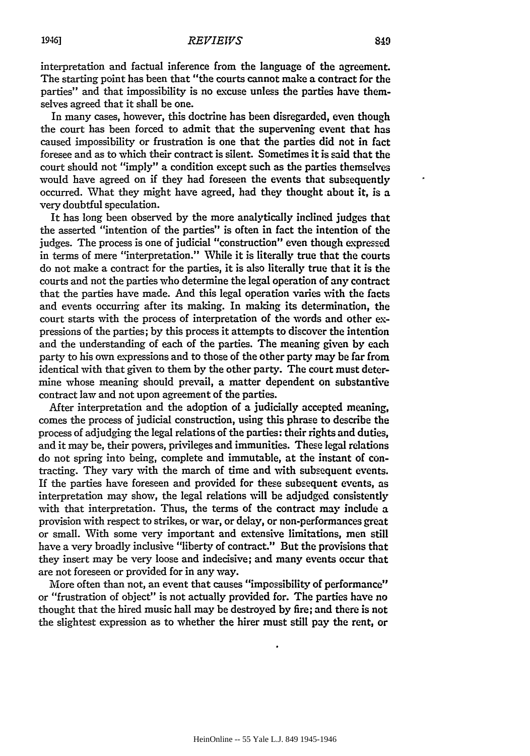interpretation and factual inference from the language of the agreement. interpretation and factual inference from the language of the agreement. The starting point has been that "the courts cannot make a contract for the parties" and that impossibility is no excuse unless the parties have themselves agreed that it shall be one. selves agreed that it shall be one.

In many cases, however, this doctrine has been disregarded, even though In many cases, however, this doctrine has been disregarded, even though the court has been forced to admit that the supervening event that has the court has been forced to admit that the supervening event that has caused impossibility or frustration is one that the parties did not in fact caused impossibility or frustration is one that the parties did not in fact foresee and as to which their contract is silent. Sometimes it is said that the foresee and as to which their contract is silent. Sometimes it is said that the court should not "imply" a condition except such as the parties themselves court should not "imply" a condition except such as the parties themselves would have agreed on if they had foreseen the events that subsequently would have agreed on if they had foreseen the events that subsequently occurred. What they might have agreed, had they thought about it, is a very doubtful speculation. occurred. What they might have agreed, had they thought about it, is a<br>very doubtful speculation.<br>It has long been observed by the more analytically inclined judges that

the asserted "intention of the parties" is often in fact the intention of the the asserted "intention of the parties" is often in fact the intention of the judges. The process is one of judicial "construction" even though expressed judges. The process is one of judicial "construction" even though expressed in terms of mere "interpretation." While it is literally true that the courts do not make a contract for the parties, it is also literally true that it is the do not make a contract for the parties, it is also literally true that it is the courts and not the parties who determine the legal operation of any contract courts and not the parties who determine the legal operation of any contract that the parties have made. And this legal operation varies with the facts and events occurring after its making. In making its determination, the and events occurring after its making. In making its determination, court starts with the process of interpretation of the words and other ex-court starts with the process of interpretation of the words and other expressions of the parties; by this process it attempts to discover the intention pressions of the parties; by this process it attempts to discover the intention and the understanding of each of the parties. The meaning given by each party to his own expressions and to those of the other party may be far from identical with that given to them by the other party. The court must deter-identical with that given to them by the other party. The court must determine whose meaning should prevail, a matter dependent on substantive mine whose meaning should prevail, a matter dependent on substantive contract law and not upon agreement of the parties.

After interpretation and the adoption of a judicially accepted meaning, contract law and not upon agreement of the parties.<br>After interpretation and the adoption of a judicially accepted meaning,<br>comes the process of judicial construction, using this phrase to describe the process of adjudging the legal relations of the parties: their rights and duties, process of adjudging the legal relations of the parties: their rights and duties,<br>and it may be, their powers, privileges and immunities. These legal relations do not spring into being, complete and immutable, at the instant of con-do not spring into being, complete and immutable, at the instant of contracting. They vary with the march of time and with subsequent events. tracting. They vary with the march of time and with subsequent events.<br>If the parties have foreseen and provided for these subsequent events, as interpretation may show, the legal relations will be adjudged consistently interpretation may show, the legal relations will be adjudged consistently with that interpretation. Thus, the terms of the contract may include a provision with respect to strikes, or war, or delay, or non-performances great or small. With some very important and extensive limitations, men still have a very broadly inclusive "liberty of contract." But the provisions that have a very broadly inclusive "liberty of contract." But the provisions that they insert may be very loose and indecisive; and many events occur that they insert may be very loose and indecisive; and many events occur that are not foreseen or provided for in any way. are not foreseen or provided for in any way.

More often than not, an event that causes "impossibility of performance" More often than not, an event that causes "impossibility of performance" or "frustration of object" is not actually provided for. The parties have no thought that the hired music hall may be destroyed by fire; and there is not thought that the hired music hall may be destroyed by fire; and there is not the slightest expression as to whether the hirer must still pay the rent, or

19461

HeinOnline -- 55 Yale L.J. 849 1945-1946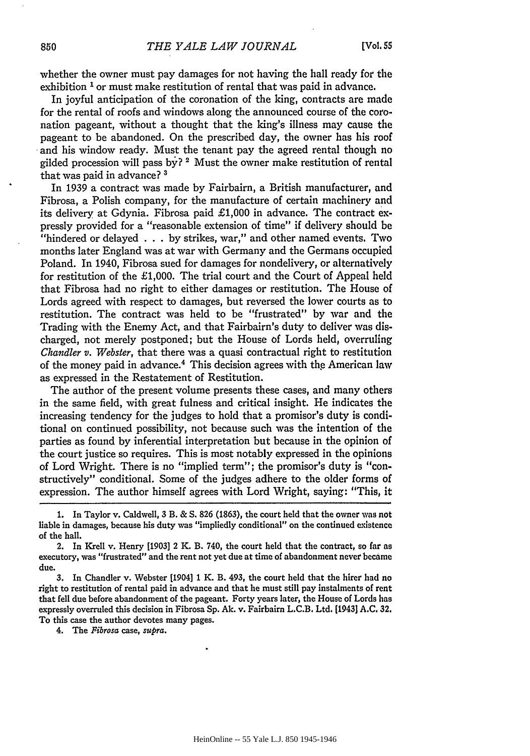whether the owner must pay damages for not having the hall ready for the whether the owner must pay damages for not having the hall ready for the exhibition <sup>1</sup> or must make restitution of rental that was paid in advance.

In joyful anticipation of the coronation of the king, contracts are made In joyful anticipation of the coronation of the king, contracts are made for the rental of roofs and windows along the announced course of the coro-for the rental of roofs and windows along the announced course of the coronation pageant, without a thought that the king's illness may cause the nation pageant, without a thought that the king's illness may cause the pageant to be abandoned. On the prescribed day, the owner has his roof pageant to be abandoned. On the prescribed day, the owner has his roof and his window ready. Must the tenant pay the agreed rental though no gilded procession will pass **by? 2** Must the owner make restitution of rental gilded procession will pass by? <sup>2</sup> Must the owner make restitution of rental that was paid in advance? **3**

that was paid in advance? <sup>3</sup><br>In 1939 a contract was made by Fairbairn, a British manufacturer, and Fibrosa, a Polish company, for the manufacture of certain machinery and Fibrosa, a Polish company, for the manufacture of certain machinery and its delivery at Gdynia. Fibrosa paid £1,000 in advance. The contract expressly provided for a "reasonable extension of time" if delivery should be pressly provided for a "reasonable extension of time" if delivery should be "hindered or delayed . . . by strikes, war," and other named events. Two "hindered or delayed ... by strikes, war," and other named events. Two months later England was at war with Germany and the Germans occupied months later England was at war with Germany and the Germans occupied Poland. In 1940, Fibrosa sued for damages for nondelivery, or alternatively Poland. In 1940, Fibrosa sued for damages for nondelivery, or alternatively for restitution of the  $\pounds1,000$ . The trial court and the Court of Appeal held that Fibrosa had no right to either damages or restitution. The House of that Fibrosa had no right to either damages or restitution. The House of Lords agreed with respect to damages, but reversed the lower courts as to restitution. The contract was held to be "frustrated" by war and the restitution. The contract was held to be "frustrated" by war and the Trading with the Enemy Act, and that Fairbairn's duty to deliver was dis-Trading with the Enemy Act, and that Fairbairn's duty to deliver was discharged, not merely postponed; but the House of Lords held, overruling charged, not merely postponed; but the House of Lords held, overruling *Chandler v. Webster,* that there was a quasi contractual right to restitution of the money paid in advance.<sup>4</sup> This decision agrees with the American law as expressed in the Restatement of Restitution. as expressed in the Restatement of Restitution.

The author of the present volume presents these cases, and many others The author of the present volume presents these cases, and many others in the same field, with great fulness and critical insight. He indicates the increasing tendency for the judges to hold that a promisor's duty is condi-increasing tendency for the judges to hold that a promisor's duty is conditional on continued possibility, not because such was the intention of the tional on continued possibility, not because such was the intention of the parties as found by inferential interpretation but because in the opinion of the court justice so requires. This is most notably expressed in the opinions of Lord Wright. There is no "implied term"; the promisor's duty is "con-of Lord Wright. There is no "implied term"; the promisor's duty is "constructively" conditional. Some of the judges adhere to the older forms of structively" conditional. Some of the judges adhere to the older forms of expression. The author himself agrees with Lord Wright, saying: "This, it expression. The author himself agrees with Lord Wright, saying: "This, it

4. The *Fibrosa case, supra.* 4. The *Fibrosa* case, *supra.*

<sup>1.</sup> In Taylor v. Caldwell, 3 B. & S. 826 (1863), the court held that the owner was not liable in damages, because his duty was "impliedly conditional" on the continued existence of the hall. of the hall.

<sup>2.</sup> In Krell v. Henry [1903] 2 K. B. 740, the court held that the contract, so far as executory, was "frustrated" and the rent not yet due at time of abandonment never became due. due.

**<sup>3.</sup>** In Chandler v. Webster [1904] 1 K. B. 493, the court held that the hirer had no 3. In Chandler v. Webster [1904] 1 K. B. 493, the court held that the hirer had no right to restitution of rental paid in advance and that he must still pay instalments of rent that fell due before abandonment of the pageant. Forty years later, the House of Lords has expressly overruled this decision in Fibrosa **Sp. Ak.** v. Fairbairn L.C.B. Ltd. [1943] **A.C. 32.** expressly overruled this decision in Fibrosa Sp. Ak. v. Fairbairn L.C.B. Ltd. [1943] A.C. 32. To this case the author devotes many pages. To this case the author devotes many pages.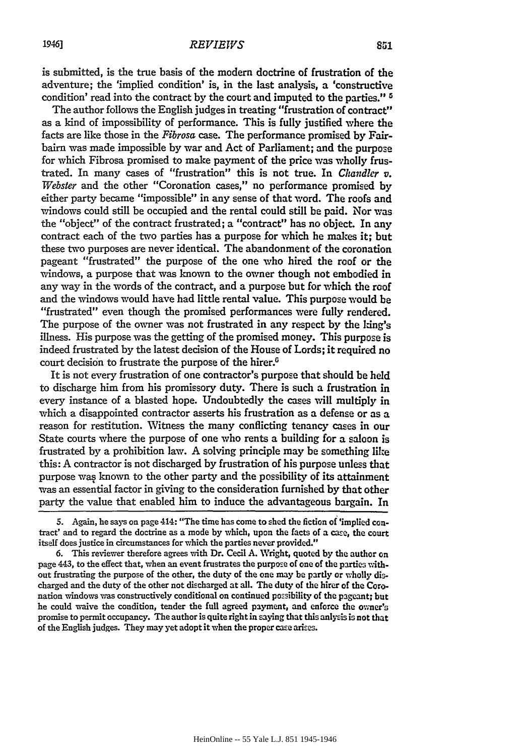is submitted, is the true basis of the modern doctrine of frustration of the is submitted, is the true basis of the modern doctrine of frustration of the adventure; the 'implied condition' is, in the last analysis, a 'constructive adventure; the 'implied condition' is, in the last analysis, a 'constructive condition' read into the contract by the court and imputed to the parties." <sup>5</sup>

The author follows the English judges in treating "frustration of contract" The author follows the English judgesin treating "frustration of contract" as a kind of impossibility of performance. This is fully justified where the as a kind of impossibility of performance. This is fully justified where the facts are like those in the *Fibrosa* case. The performance promised by Fairbairn was made impossible by war and Act of Parliament; and the purpose bairn was made impossible by war and Act of Parliament; and the purpose for which Fibrosa promised to make payment of the price was wholly frus-for which Fibrosa promised to make payment of the price was wholly frustrated. In many cases of "frustration" this is not true. In *Chandler* v. *Webster* and the other "Coronation cases," no performance promised by *Webster* and the other "Coronation cases," no performance promised by either party became "impossible" in any sense of that word. The roofs and either party became "impossible" in any sense of that word. The roofs and windows could still be occupied and the rental could still be paid. Nor was windows could still be occupied and the rental could still be paid. Nor was the "object" of the contract frustrated; a "contract" has no object. In any contract each of the two parties has a purpose for which he makes it; but these two purposes are never identical. The abandonment of the coronation these two purposes are never identical. The abandonment of the coronation pageant "frustrated" the purpose of the one who hired the roof or the pageant "frustrated" the purpose of the one who hired the roof or windows, a purpose that was known to the owner though not embodied in windows, a purpose that was known to the owner though not embodied in any way in the words of the contract, and a purpose but for which the roof and the windows would have had little rental value. This purpose would be and the windows would have had little rental value. This purpose would be "frustrated" even though the promised performances were fully rendered. "frustrated" even though the promised performances were fully rendered. The purpose of the owner was not frustrated in any respect **by** the king's The purpose of the owner was not frustrated in any respect by the king's illness. His purpose was the getting of the promised money. This purpose is illness. His purpose was the getting of the promised money. This purpose is indeed frustrated by the latest decision of the House of Lords; it required no indeed frustrated by the latest decision of the House of Lords; it required no court decision to frustrate the purpose of the hirer.<sup>6</sup>

It is not every frustration of one contractor's purpose that should be held to discharge him from his promissory duty. There is such a frustration in to discharge him from his promissory duty. There is such a frustration in every instance of a blasted hope. Undoubtedly the cases will multiply in which a disappointed contractor asserts his frustration as a defense or as a reason for restitution. Witness the many conflicting tenancy cases in our reason for restitution. Witness the many conflicting tenancy cases in our State courts where the purpose of one who rents a building for a saloon is State courts where the purpose of one who rents a building for a saloon is frustrated by a prohibition law. A solving principle may be something like this: A contractor is not discharged by frustration of his purpose unless that this: A contractor is not discharged by frustration of his purpose unless that purpose was known to the other party and the possibility of its attainment was an essential factor in giving to the consideration furnished by that other was an essential factor in giving to the consideration furnished by that other party the value that enabled him to induce the advantageous bargain. In party the value that enabled him to induce the advantageous bargain. In

<sup>5.</sup> Again, he says on page 414: "The time has come to shed the fiction of 'implied con-5. Again, he says on page 414: "The time has come to shed the fiction of 'implied contract' and to regard the doctrine as a mode by which, upon the facts of a case, the court itself does justice in circumstances for which the parties never provided." itself does justice in circumstances for which the parties never provided."

**<sup>6.</sup>** This reviewer therefore agrees with Dr. Cecil **A.** Wright, quoted **by** the author on 6. This reviewer therefore agrees 'with Dr. Cecil A. Wright, quoted by the author on page 443, to the effect that, when an event frustrates the purpose of one of the parties without frustrating the purpose of the other, the duty of the one may be partly or wholly discharged and the duty of the other not discharged at all. The duty of the hirer of the Coronation windows was constructively conditional on continued possibility of the pageant; but he could waive the condition, tender the full agreed payment, and enforce the ovner's he could waive the condition, tender the full agreed payment, and enforce the owner's promise to permit occupancy. The author is quite right in saying that this anlysis is not that of the English judges. They may yet adopt it when the proper case arises.